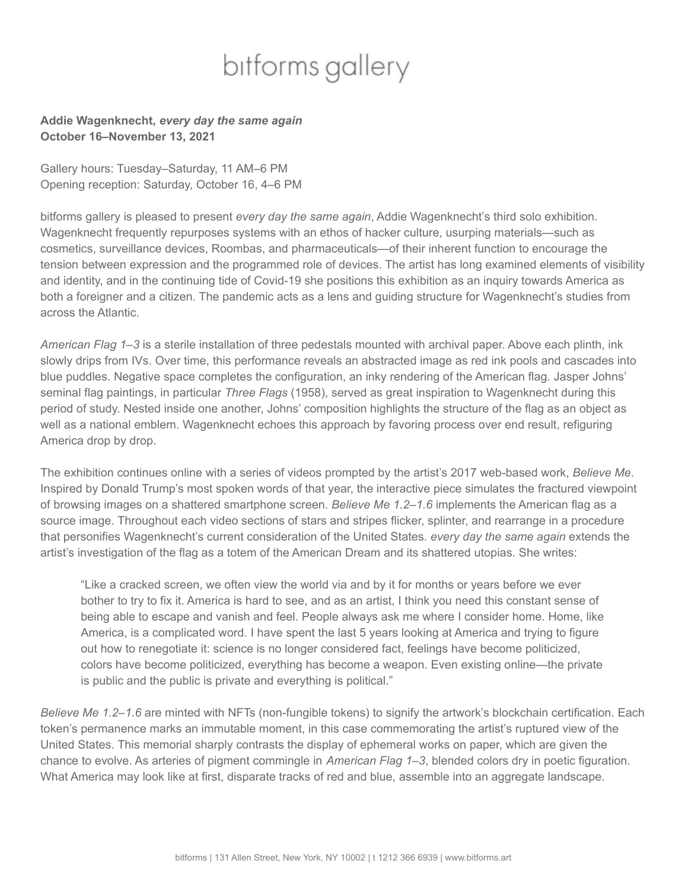## bitforms gallery

## **Addie Wagenknecht,** *every day the same again* **October 16–November 13, 2021**

Gallery hours: Tuesday–Saturday, 11 AM–6 PM Opening reception: Saturday, October 16, 4–6 PM

bitforms gallery is pleased to present *every day the same again*, Addie Wagenknecht's third solo exhibition. Wagenknecht frequently repurposes systems with an ethos of hacker culture, usurping materials—such as cosmetics, surveillance devices, Roombas, and pharmaceuticals—of their inherent function to encourage the tension between expression and the programmed role of devices. The artist has long examined elements of visibility and identity, and in the continuing tide of Covid-19 she positions this exhibition as an inquiry towards America as both a foreigner and a citizen. The pandemic acts as a lens and guiding structure for Wagenknecht's studies from across the Atlantic.

*American Flag 1–3* is a sterile installation of three pedestals mounted with archival paper. Above each plinth, ink slowly drips from IVs. Over time, this performance reveals an abstracted image as red ink pools and cascades into blue puddles. Negative space completes the configuration, an inky rendering of the American flag. Jasper Johns' seminal flag paintings, in particular *Three Flags* (1958), served as great inspiration to Wagenknecht during this period of study. Nested inside one another, Johns' composition highlights the structure of the flag as an object as well as a national emblem. Wagenknecht echoes this approach by favoring process over end result, refiguring America drop by drop.

The exhibition continues online with a series of videos prompted by the artist's 2017 web-based work, *Believe Me*. Inspired by Donald Trump's most spoken words of that year, the interactive piece simulates the fractured viewpoint of browsing images on a shattered smartphone screen. *Believe Me 1.2–1.6* implements the American flag as a source image. Throughout each video sections of stars and stripes flicker, splinter, and rearrange in a procedure that personifies Wagenknecht's current consideration of the United States. *every day the same again* extends the artist's investigation of the flag as a totem of the American Dream and its shattered utopias. She writes:

"Like a cracked screen, we often view the world via and by it for months or years before we ever bother to try to fix it. America is hard to see, and as an artist, I think you need this constant sense of being able to escape and vanish and feel. People always ask me where I consider home. Home, like America, is a complicated word. I have spent the last 5 years looking at America and trying to figure out how to renegotiate it: science is no longer considered fact, feelings have become politicized, colors have become politicized, everything has become a weapon. Even existing online—the private is public and the public is private and everything is political."

*Believe Me 1.2–1.6* are minted with NFTs (non-fungible tokens) to signify the artwork's blockchain certification. Each token's permanence marks an immutable moment, in this case commemorating the artist's ruptured view of the United States. This memorial sharply contrasts the display of ephemeral works on paper, which are given the chance to evolve. As arteries of pigment commingle in *American Flag 1–3*, blended colors dry in poetic figuration. What America may look like at first, disparate tracks of red and blue, assemble into an aggregate landscape.